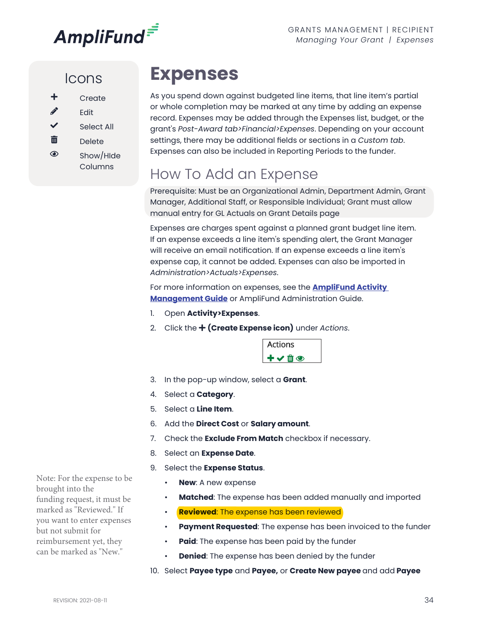

#### Icons

- $\mathscr{P}$  Edit
- Select All
- $\overline{\mathbf{m}}$  Delete
- $\circledcirc$  Show/Hide
- Columns

# **Expenses**

As you spend down against budgeted line items, that line item's partial or whole completion may be marked at any time by adding an expense record. Expenses may be added through the Expenses list, budget, or the grant's *Post-Award tab>Financial>Expenses*. Depending on your account settings, there may be additional fields or sections in a *Custom tab*. Expenses can also be included in Reporting Periods to the funder.

## How To Add an Expense

Prerequisite: Must be an Organizational Admin, Department Admin, Grant Manager, Additional Staff, or Responsible Individual; Grant must allow manual entry for GL Actuals on Grant Details page

Expenses are charges spent against a planned grant budget line item. If an expense exceeds a line item's spending alert, the Grant Manager will receive an email notification. If an expense exceeds a line item's expense cap, it cannot be added. Expenses can also be imported in *Administration>Actuals>Expenses*.

For more information on expenses, see the **[AmpliFund Activity](https://amplifund.zendesk.com/hc/en-us/articles/210570363-Activity-Management-Guide-)  [Management Guide](https://amplifund.zendesk.com/hc/en-us/articles/210570363-Activity-Management-Guide-)** or AmpliFund Administration Guide.

- 1. Open **Activity>Expenses**.
- 2. Click the **(Create Expense icon)** under *Actions*.



- 3. In the pop-up window, select a **Grant**.
- 4. Select a **Category**.
- 5. Select a **Line Item**.
- 6. Add the **Direct Cost** or **Salary amount**.
- 7. Check the **Exclude From Match** checkbox if necessary.
- 8. Select an **Expense Date**.
- 9. Select the **Expense Status**.
	- **New:** A new expense
	- **Matched**: The expense has been added manually and imported
	- **Reviewed**: The expense has been reviewed
	- **Payment Requested**: The expense has been invoiced to the funder
	- **Paid**: The expense has been paid by the funder
	- **Denied**: The expense has been denied by the funder
- 10. Select **Payee type** and **Payee,** or **Create New payee** and add **Payee**

Note: For the expense to be brought into the funding request, it must be marked as "Reviewed." If you want to enter expenses but not submit for reimbursement yet, they can be marked as "New."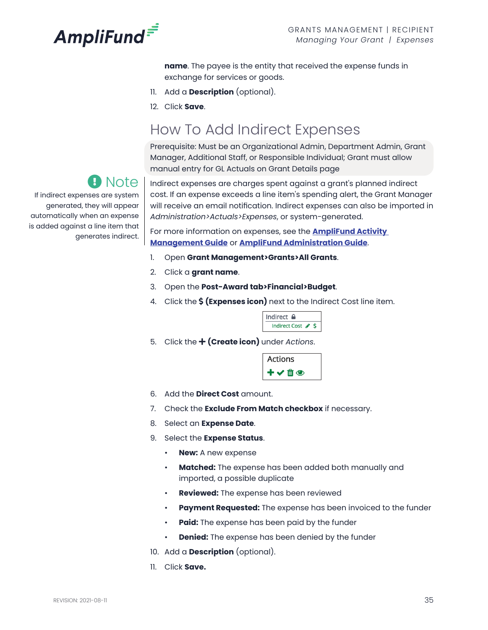

**name**. The payee is the entity that received the expense funds in exchange for services or goods.

- 11. Add a **Description** (optional).
- 12. Click **Save**.

#### How To Add Indirect Expenses

Prerequisite: Must be an Organizational Admin, Department Admin, Grant Manager, Additional Staff, or Responsible Individual; Grant must allow manual entry for GL Actuals on Grant Details page

## Note

If indirect expenses are system generated, they will appear automatically when an expense is added against a line item that generates indirect.

Indirect expenses are charges spent against a grant's planned indirect cost. If an expense exceeds a line item's spending alert, the Grant Manager will receive an email notification. Indirect expenses can also be imported in *Administration>Actuals>Expenses*, or system-generated.

For more information on expenses, see the **[AmpliFund Activity](https://amplifund.zendesk.com/hc/en-us/articles/210570363-Activity-Management-Guide-)  [Management Guide](https://amplifund.zendesk.com/hc/en-us/articles/210570363-Activity-Management-Guide-)** or **[AmpliFund Administration Guide](https://amplifund.zendesk.com/hc/en-us/articles/210570443-Administration-Guide)**.

- 1. Open **Grant Management>Grants>All Grants**.
- 2. Click a **grant name**.
- 3. Open the **Post-Award tab>Financial>Budget**.
- 4. Click the **(Expenses icon)** next to the Indirect Cost line item.

| Indirect             |   |  |
|----------------------|---|--|
| <b>Indirect Cost</b> | a |  |

5. Click the **(Create icon)** under *Actions*.

| <b>Actions</b> |  |
|----------------|--|
|                |  |

- 6. Add the **Direct Cost** amount.
- 7. Check the **Exclude From Match checkbox** if necessary.
- 8. Select an **Expense Date**.
- 9. Select the **Expense Status**.
	- **New:** A new expense
	- **Matched:** The expense has been added both manually and imported, a possible duplicate
	- **Reviewed:** The expense has been reviewed
	- **Payment Requested:** The expense has been invoiced to the funder
	- **Paid:** The expense has been paid by the funder
	- **Denied:** The expense has been denied by the funder
- 10. Add a **Description** (optional).
- 11. Click **Save.**